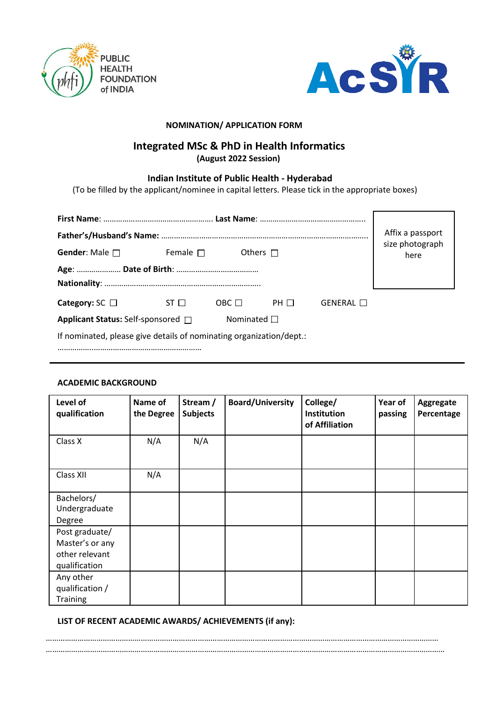



## **NOMINATION/ APPLICATION FORM**

# **Integrated MSc & PhD in Health Informatics**

**(August 2022 Session)**

## **Indian Institute of Public Health ‐ Hyderabad**

(To be filled by the applicant/nominee in capital letters. Please tick in the appropriate boxes)

|                                                                     | Affix a passport<br>size photograph |             |           |           |      |  |
|---------------------------------------------------------------------|-------------------------------------|-------------|-----------|-----------|------|--|
| <b>Gender:</b> Male $\Box$                                          | Female $\Box$<br>Others $\Box$      |             |           |           | here |  |
|                                                                     |                                     |             |           |           |      |  |
|                                                                     |                                     |             |           |           |      |  |
| Category: $SC \Box$                                                 | ST <sub>II</sub>                    | $OBC$ $\Pi$ | PH $\Box$ | GENERAL □ |      |  |
| Applicant Status: Self-sponsored $\Box$<br>Nominated $\Box$         |                                     |             |           |           |      |  |
| If nominated, please give details of nominating organization/dept.: |                                     |             |           |           |      |  |
|                                                                     |                                     |             |           |           |      |  |

## **ACADEMIC BACKGROUND**

| Level of<br>qualification                                            | Name of<br>the Degree | Stream /<br><b>Subjects</b> | <b>Board/University</b> | College/<br>Institution<br>of Affiliation | Year of<br>passing | Aggregate<br>Percentage |
|----------------------------------------------------------------------|-----------------------|-----------------------------|-------------------------|-------------------------------------------|--------------------|-------------------------|
| Class X                                                              | N/A                   | N/A                         |                         |                                           |                    |                         |
| Class XII                                                            | N/A                   |                             |                         |                                           |                    |                         |
| Bachelors/<br>Undergraduate<br>Degree                                |                       |                             |                         |                                           |                    |                         |
| Post graduate/<br>Master's or any<br>other relevant<br>qualification |                       |                             |                         |                                           |                    |                         |
| Any other<br>qualification /<br><b>Training</b>                      |                       |                             |                         |                                           |                    |                         |

**LIST OF RECENT ACADEMIC AWARDS/ ACHIEVEMENTS (if any):**

…………………………………………………………………………………………………………………………………………………………………… ………………………………………………………………………………………………………………………………………………………………………